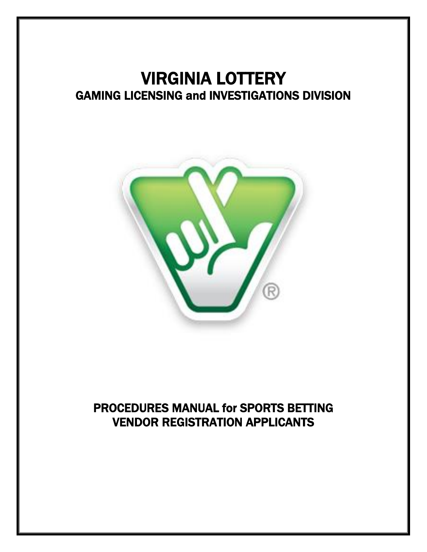# VIRGINIA LOTTERY GAMING LICENSING and INVESTIGATIONS DIVISION



# PROCEDURES MANUAL for SPORTS BETTING VENDOR REGISTRATION APPLICANTS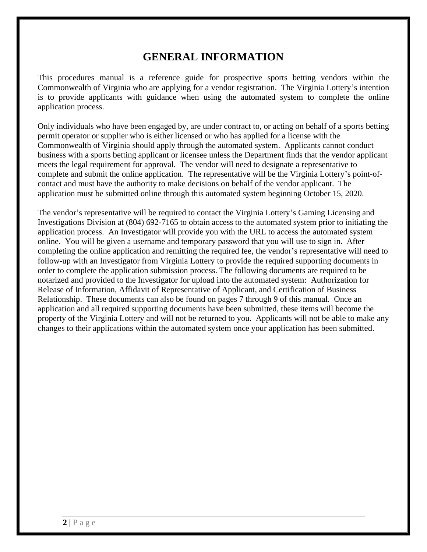## **GENERAL INFORMATION**

This procedures manual is a reference guide for prospective sports betting vendors within the Commonwealth of Virginia who are applying for a vendor registration. The Virginia Lottery's intention is to provide applicants with guidance when using the automated system to complete the online application process.

Only individuals who have been engaged by, are under contract to, or acting on behalf of a sports betting permit operator or supplier who is either licensed or who has applied for a license with the Commonwealth of Virginia should apply through the automated system. Applicants cannot conduct business with a sports betting applicant or licensee unless the Department finds that the vendor applicant meets the legal requirement for approval. The vendor will need to designate a representative to complete and submit the online application. The representative will be the Virginia Lottery's point-ofcontact and must have the authority to make decisions on behalf of the vendor applicant. The application must be submitted online through this automated system beginning October 15, 2020.

The vendor's representative will be required to contact the Virginia Lottery's Gaming Licensing and Investigations Division at (804) 692-7165 to obtain access to the automated system prior to initiating the application process. An Investigator will provide you with the URL to access the automated system online. You will be given a username and temporary password that you will use to sign in. After completing the online application and remitting the required fee, the vendor's representative will need to follow-up with an Investigator from Virginia Lottery to provide the required supporting documents in order to complete the application submission process. The following documents are required to be notarized and provided to the Investigator for upload into the automated system: Authorization for Release of Information, Affidavit of Representative of Applicant, and Certification of Business Relationship. These documents can also be found on pages 7 through 9 of this manual. Once an application and all required supporting documents have been submitted, these items will become the property of the Virginia Lottery and will not be returned to you. Applicants will not be able to make any changes to their applications within the automated system once your application has been submitted.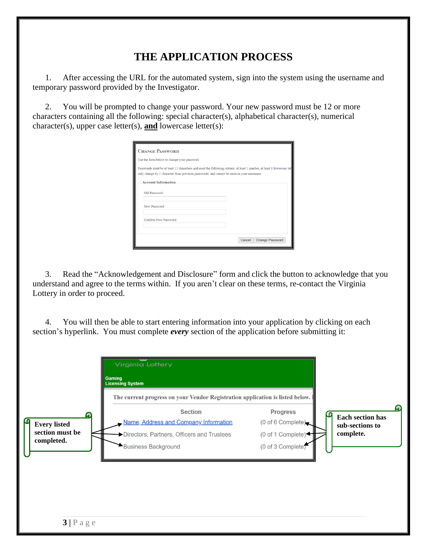# **THE APPLICATION PROCESS**

1. After accessing the URL for the automated system, sign into the system using the username and temporary password provided by the Investigator.

2. You will be prompted to change your password. Your new password must be 12 or more characters containing all the following: special character(s), alphabetical character(s), numerical character(s), upper case letter(s), **and** lowercase letter(s):

| <b>CHANGE PASSWORD</b>                                                                                                                                                                                            |                                  |
|-------------------------------------------------------------------------------------------------------------------------------------------------------------------------------------------------------------------|----------------------------------|
| Use the form below to change your password.                                                                                                                                                                       |                                  |
| Passwords must be at least 12 characters and meet the following criteria: at least 1 number, at least 1 lowercase let<br>only change by 1 character from previous passwords; and cannot be same as your username. |                                  |
| <b>Account Information</b>                                                                                                                                                                                        |                                  |
| Old Password:                                                                                                                                                                                                     |                                  |
| New Password:                                                                                                                                                                                                     |                                  |
| Confirm New Password:                                                                                                                                                                                             |                                  |
|                                                                                                                                                                                                                   |                                  |
|                                                                                                                                                                                                                   | <b>Change Password</b><br>Cancel |

3. Read the "Acknowledgement and Disclosure" form and click the button to acknowledge that you understand and agree to the terms within. If you aren't clear on these terms, re-contact the Virginia Lottery in order to proceed.

4. You will then be able to start entering information into your application by clicking on each section's hyperlink. You must complete *every* section of the application before submitting it:

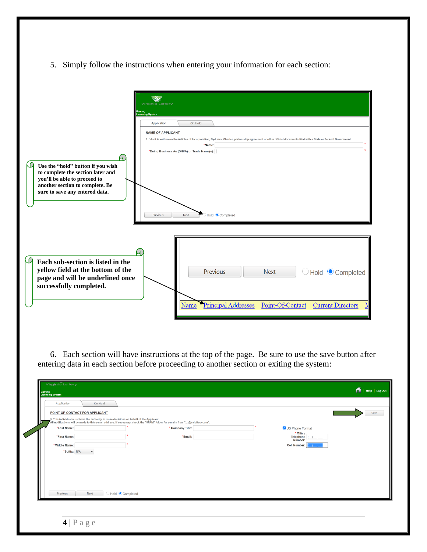5. Simply follow the instructions when entering your information for each section:

| <b>Virginia Lottery</b><br>Gaming<br>Licensing System<br>Application<br><b>NAME OF APPLICANT</b><br>ч.<br>Use the "hold" button if you wish<br>to complete the section later and<br>you'll be able to proceed to<br>another section to complete. Be<br>sure to save any entered data.<br>Previous | On Hold<br>1. * As it is written on the Articles of Incorporation, By-Laws, Charter, partnership agreement or other official documents filed with a State or Federal Government.<br>*Name:<br>*Doing Business As (D/B/A) or Trade Name(s):<br>Hold Completed<br>Next |
|---------------------------------------------------------------------------------------------------------------------------------------------------------------------------------------------------------------------------------------------------------------------------------------------------|----------------------------------------------------------------------------------------------------------------------------------------------------------------------------------------------------------------------------------------------------------------------|
| Each sub-section is listed in the<br>yellow field at the bottom of the<br>page and will be underlined once<br>successfully completed.                                                                                                                                                             | ○Hold ● Completed<br>Previous<br><b>Next</b><br>Principal Addresses<br>Point-Of-Contact<br><b>Name</b><br><b>Current Directors</b>                                                                                                                                   |

6. Each section will have instructions at the top of the page. Be sure to use the save button after entering data in each section before proceeding to another section or exiting the system:

| <b>Virginia Lottery</b> |                                                                                        |                                                                                           |                  |                                                                                                                                                                                                                                        |                 | $\bigcap$   Help   Log Out       |
|-------------------------|----------------------------------------------------------------------------------------|-------------------------------------------------------------------------------------------|------------------|----------------------------------------------------------------------------------------------------------------------------------------------------------------------------------------------------------------------------------------|-----------------|----------------------------------|
|                         |                                                                                        |                                                                                           |                  |                                                                                                                                                                                                                                        |                 |                                  |
|                         |                                                                                        |                                                                                           |                  |                                                                                                                                                                                                                                        |                 |                                  |
|                         |                                                                                        |                                                                                           |                  |                                                                                                                                                                                                                                        |                 |                                  |
|                         |                                                                                        |                                                                                           |                  |                                                                                                                                                                                                                                        |                 | Save                             |
|                         |                                                                                        |                                                                                           |                  |                                                                                                                                                                                                                                        |                 |                                  |
| *Last Name:             |                                                                                        |                                                                                           | * Company Title: |                                                                                                                                                                                                                                        | US Phone Format |                                  |
|                         |                                                                                        |                                                                                           |                  |                                                                                                                                                                                                                                        | * Office        |                                  |
|                         |                                                                                        |                                                                                           |                  |                                                                                                                                                                                                                                        | Number:         |                                  |
|                         |                                                                                        |                                                                                           |                  |                                                                                                                                                                                                                                        |                 |                                  |
|                         |                                                                                        |                                                                                           |                  |                                                                                                                                                                                                                                        |                 |                                  |
|                         |                                                                                        |                                                                                           |                  |                                                                                                                                                                                                                                        |                 |                                  |
|                         |                                                                                        |                                                                                           |                  |                                                                                                                                                                                                                                        |                 |                                  |
|                         |                                                                                        |                                                                                           |                  |                                                                                                                                                                                                                                        |                 |                                  |
|                         |                                                                                        |                                                                                           |                  |                                                                                                                                                                                                                                        |                 |                                  |
|                         |                                                                                        |                                                                                           |                  |                                                                                                                                                                                                                                        |                 |                                  |
|                         |                                                                                        |                                                                                           |                  |                                                                                                                                                                                                                                        |                 |                                  |
|                         |                                                                                        |                                                                                           |                  |                                                                                                                                                                                                                                        |                 |                                  |
|                         | Gaming<br>Licensing System<br>Application<br>*First Name:<br>*Middle Name:<br>Previous | On Hold<br>POINT-OF-CONTACT FOR APPLICANT<br>*Suffix: N/A<br>$\blacktriangledown$<br>Next | Hold Completed   | 3. This individual must have the authority to make decisions on behalf of the Applicant.<br>All notifications will be made to this e-mail address. If necessary, check the "SPAM" folder for e-mails from "@valottery.com".<br>*Email: |                 | Telephone $(\_)$<br>Cell Number: |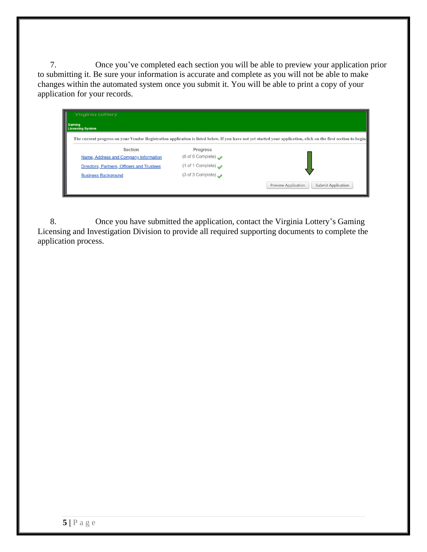7. Once you've completed each section you will be able to preview your application prior to submitting it. Be sure your information is accurate and complete as you will not be able to make changes within the automated system once you submit it. You will be able to print a copy of your application for your records.

| Gaming<br><b>Licensing System</b>          |                                      |                                                                                                                                                                  |
|--------------------------------------------|--------------------------------------|------------------------------------------------------------------------------------------------------------------------------------------------------------------|
|                                            |                                      | The current progress on your Vendor Registration application is listed below. If you have not yet started your application, click on the first section to begin. |
| Section                                    | Progress                             |                                                                                                                                                                  |
| Name, Address and Company Information      | (6 of 6 Complete) $\rightarrow$      |                                                                                                                                                                  |
| Directors, Partners, Officers and Trustees | $(1 \text{ of } 1 \text{ Complete})$ |                                                                                                                                                                  |
| <b>Business Background</b>                 | (3 of 3 Complete)                    |                                                                                                                                                                  |
|                                            |                                      | <b>Submit Application</b><br>Preview Application                                                                                                                 |

8. Once you have submitted the application, contact the Virginia Lottery's Gaming Licensing and Investigation Division to provide all required supporting documents to complete the application process.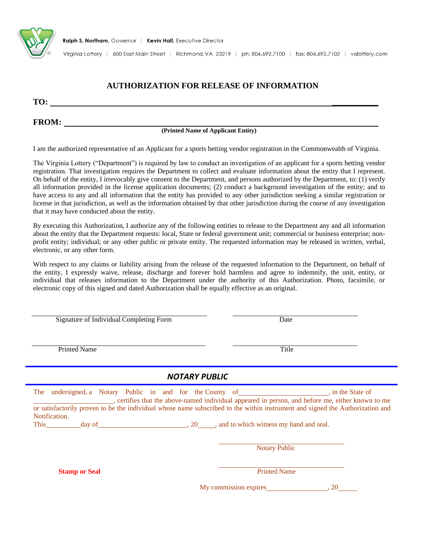

Virginia Lottery | 600 East Main Street | Richmond, VA 23219 | ph: 804.692.7100 | fax: 804.692.7102 | valottery.com

#### **AUTHORIZATION FOR RELEASE OF INFORMATION**

**TO: \_\_\_\_\_\_\_\_\_\_\_**

#### **FROM:**

## **(Printed Name of Applicant Entity)**

I am the authorized representative of an Applicant for a sports betting vendor registration in the Commonwealth of Virginia.

The Virginia Lottery ("Department") is required by law to conduct an investigation of an applicant for a sports betting vendor registration. That investigation requires the Department to collect and evaluate information about the entity that I represent. On behalf of the entity, I irrevocably give consent to the Department, and persons authorized by the Department, to: (1) verify all information provided in the license application documents; (2) conduct a background investigation of the entity; and to have access to any and all information that the entity has provided to any other jurisdiction seeking a similar registration or license in that jurisdiction, as well as the information obtained by that other jurisdiction during the course of any investigation that it may have conducted about the entity.

By executing this Authorization, I authorize any of the following entities to release to the Department any and all information about the entity that the Department requests: local, State or federal government unit; commercial or business enterprise; nonprofit entity; individual; or any other public or private entity. The requested information may be released in written, verbal, electronic, or any other form.

With respect to any claims or liability arising from the release of the requested information to the Department, on behalf of the entity, I expressly waive, release, discharge and forever hold harmless and agree to indemnify, the unit, entity, or individual that releases information to the Department under the authority of this Authorization. Photo, facsimile, or electronic copy of this signed and dated Authorization shall be equally effective as an original.

Signature of Individual Completing Form Date

Printed Name Title

#### *NOTARY PUBLIC*

|               |                      |                      |  |                                            | The undersigned, a Notary Public in and for the County of ___________________, in the State of<br>, certifies that the above-named individual appeared in person, and before me, either known to me |
|---------------|----------------------|----------------------|--|--------------------------------------------|-----------------------------------------------------------------------------------------------------------------------------------------------------------------------------------------------------|
|               |                      |                      |  |                                            | or satisfactorily proven to be the individual whose name subscribed to the within instrument and signed the Authorization and                                                                       |
| Notification. |                      |                      |  |                                            |                                                                                                                                                                                                     |
| <b>This</b>   |                      | $\frac{1}{2}$ day of |  | 20, and to which witness my hand and seal. |                                                                                                                                                                                                     |
|               |                      |                      |  | <b>Notary Public</b>                       |                                                                                                                                                                                                     |
|               | <b>Stamp or Seal</b> |                      |  | <b>Printed Name</b>                        |                                                                                                                                                                                                     |
|               |                      |                      |  | My commission expires                      | 20                                                                                                                                                                                                  |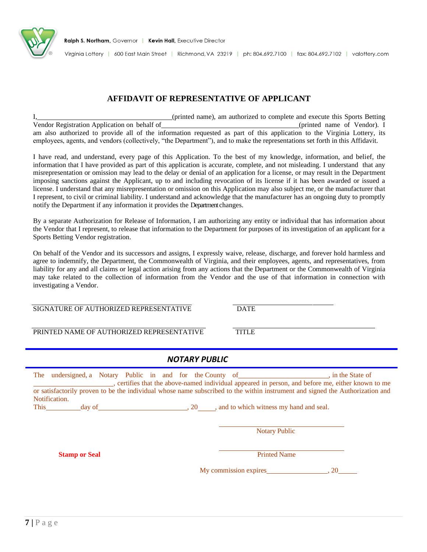

Virginia Lottery | 600 East Main Street | Richmond, VA 23219 | ph: 804.692.7100 | fax: 804.692.7102 | valottery.com

#### **AFFIDAVIT OF REPRESENTATIVE OF APPLICANT**

I, (printed name), am authorized to complete and execute this Sports Betting Vendor Registration Application on behalf of (printed name of Vendor). I am also authorized to provide all of the information requested as part of this application to the Virginia Lottery, its employees, agents, and vendors (collectively, "the Department"), and to make the representations set forth in this Affidavit.

I have read, and understand, every page of this Application. To the best of my knowledge, information, and belief, the information that I have provided as part of this application is accurate, complete, and not misleading. I understand that any misrepresentation or omission may lead to the delay or denial of an application for a license, or may result in the Department imposing sanctions against the Applicant, up to and including revocation of its license if it has been awarded or issued a license. I understand that any misrepresentation or omission on this Application may also subject me, or the manufacturer that I represent, to civil or criminal liability. I understand and acknowledge that the manufacturer has an ongoing duty to promptly notify the Department if any information it provides the Department changes.

By a separate Authorization for Release of Information, I am authorizing any entity or individual that has information about the Vendor that I represent, to release that information to the Department for purposes of its investigation of an applicant for a Sports Betting Vendor registration.

On behalf of the Vendor and its successors and assigns, I expressly waive, release, discharge, and forever hold harmless and agree to indemnify, the Department, the Commonwealth of Virginia, and their employees, agents, and representatives, from liability for any and all claims or legal action arising from any actions that the Department or the Commonwealth of Virginia may take related to the collection of information from the Vendor and the use of that information in connection with investigating a Vendor.

SIGNATURE OF AUTHORIZED REPRESENTATIVE DATE

PRINTED NAME OF AUTHORIZED REPRESENTATIVE TITLE

#### *NOTARY PUBLIC*

|      | The undersigned a Notary Public in and for the County of |  |  |           | in the State of                                                                                                               |
|------|----------------------------------------------------------|--|--|-----------|-------------------------------------------------------------------------------------------------------------------------------|
|      |                                                          |  |  |           | certifies that the above-named individual appeared in person, and before me, either known to me                               |
|      |                                                          |  |  |           | or satisfactorily proven to be the individual whose name subscribed to the within instrument and signed the Authorization and |
|      | Notification.                                            |  |  |           |                                                                                                                               |
| This | day of                                                   |  |  | <b>20</b> | , and to which witness my hand and seal.                                                                                      |

**Notary Public** 

**Stamp or Seal** Printed Name **Printed Name** 

My commission expires 6.1 and 20